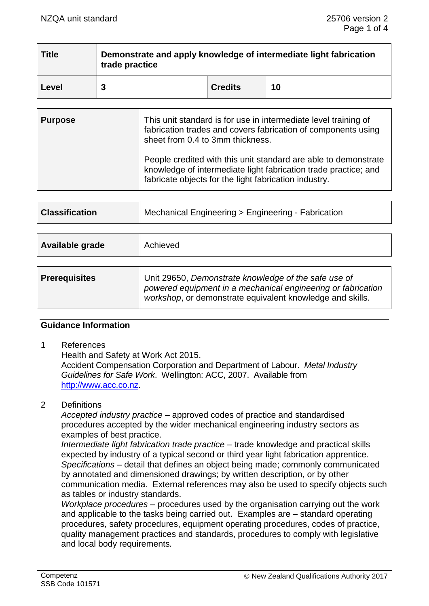| Title | Demonstrate and apply knowledge of intermediate light fabrication<br>trade practice |                |    |  |  |
|-------|-------------------------------------------------------------------------------------|----------------|----|--|--|
| Level |                                                                                     | <b>Credits</b> | 10 |  |  |

| <b>Purpose</b> | This unit standard is for use in intermediate level training of<br>fabrication trades and covers fabrication of components using<br>sheet from 0.4 to 3mm thickness.                        |
|----------------|---------------------------------------------------------------------------------------------------------------------------------------------------------------------------------------------|
|                | People credited with this unit standard are able to demonstrate<br>knowledge of intermediate light fabrication trade practice; and<br>fabricate objects for the light fabrication industry. |

| <b>Classification</b> | Mechanical Engineering > Engineering - Fabrication                                                                                                                                |  |
|-----------------------|-----------------------------------------------------------------------------------------------------------------------------------------------------------------------------------|--|
|                       |                                                                                                                                                                                   |  |
| Available grade       | Achieved                                                                                                                                                                          |  |
|                       |                                                                                                                                                                                   |  |
| <b>Prerequisites</b>  | Unit 29650, Demonstrate knowledge of the safe use of<br>powered equipment in a mechanical engineering or fabrication<br>workshop, or demonstrate equivalent knowledge and skills. |  |

### **Guidance Information**

1 References

Health and Safety at Work Act 2015. Accident Compensation Corporation and Department of Labour. *Metal Industry Guidelines for Safe Work*. Wellington: ACC, 2007. Available from [http://www.acc.co.nz.](http://www.acc.co.nz/)

### 2 Definitions

*Accepted industry practice –* approved codes of practice and standardised procedures accepted by the wider mechanical engineering industry sectors as examples of best practice.

*Intermediate light fabrication trade practice* – trade knowledge and practical skills expected by industry of a typical second or third year light fabrication apprentice. *Specifications –* detail that defines an object being made; commonly communicated by annotated and dimensioned drawings; by written description, or by other communication media. External references may also be used to specify objects such as tables or industry standards.

*Workplace procedures –* procedures used by the organisation carrying out the work and applicable to the tasks being carried out. Examples are – standard operating procedures, safety procedures, equipment operating procedures, codes of practice, quality management practices and standards, procedures to comply with legislative and local body requirements*.*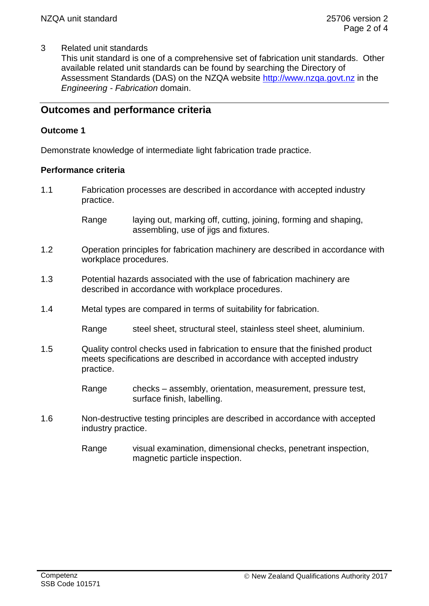### 3 Related unit standards

This unit standard is one of a comprehensive set of fabrication unit standards. Other available related unit standards can be found by searching the Directory of Assessment Standards (DAS) on the NZQA website [http://www.nzqa.govt.nz](http://www.nzqa.govt.nz/) in the *Engineering - Fabrication* domain.

# **Outcomes and performance criteria**

### **Outcome 1**

Demonstrate knowledge of intermediate light fabrication trade practice.

### **Performance criteria**

1.1 Fabrication processes are described in accordance with accepted industry practice.

> Range laying out, marking off, cutting, joining, forming and shaping, assembling, use of jigs and fixtures.

- 1.2 Operation principles for fabrication machinery are described in accordance with workplace procedures.
- 1.3 Potential hazards associated with the use of fabrication machinery are described in accordance with workplace procedures.
- 1.4 Metal types are compared in terms of suitability for fabrication.

Range steel sheet, structural steel, stainless steel sheet, aluminium.

1.5 Quality control checks used in fabrication to ensure that the finished product meets specifications are described in accordance with accepted industry practice.

> Range checks – assembly, orientation, measurement, pressure test, surface finish, labelling.

- 1.6 Non-destructive testing principles are described in accordance with accepted industry practice.
	- Range visual examination, dimensional checks, penetrant inspection, magnetic particle inspection.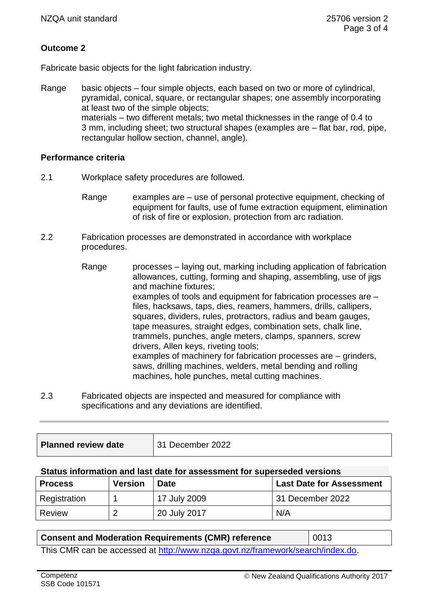# **Outcome 2**

Fabricate basic objects for the light fabrication industry.

Range basic objects – four simple objects, each based on two or more of cylindrical, pyramidal, conical, square, or rectangular shapes; one assembly incorporating at least two of the simple objects; materials – two different metals; two metal thicknesses in the range of 0.4 to 3 mm, including sheet; two structural shapes (examples are – flat bar, rod, pipe, rectangular hollow section, channel, angle).

### **Performance criteria**

- 2.1 Workplace safety procedures are followed.
	- Range examples are use of personal protective equipment, checking of equipment for faults, use of fume extraction equipment, elimination of risk of fire or explosion, protection from arc radiation.
- 2.2 Fabrication processes are demonstrated in accordance with workplace procedures.
	- Range processes laying out, marking including application of fabrication allowances, cutting, forming and shaping, assembling, use of jigs and machine fixtures; examples of tools and equipment for fabrication processes are – files, hacksaws, taps, dies, reamers, hammers, drills, callipers, squares, dividers, rules, protractors, radius and beam gauges, tape measures, straight edges, combination sets, chalk line, trammels, punches, angle meters, clamps, spanners, screw drivers, Allen keys, riveting tools; examples of machinery for fabrication processes are – grinders, saws, drilling machines, welders, metal bending and rolling machines, hole punches, metal cutting machines.
- 2.3 Fabricated objects are inspected and measured for compliance with specifications and any deviations are identified.

| <b>Planned review date</b> | 31 December 2022 |
|----------------------------|------------------|
|                            |                  |

### **Status information and last date for assessment for superseded versions**

| <b>Process</b> | <b>Version</b> | <b>Date</b>  | <b>Last Date for Assessment</b> |
|----------------|----------------|--------------|---------------------------------|
| Registration   |                | 17 July 2009 | 31 December 2022                |
| Review         | റ              | 20 July 2017 | N/A                             |

### **Consent and Moderation Requirements (CMR) reference** | 0013

This CMR can be accessed at [http://www.nzqa.govt.nz/framework/search/index.do.](http://www.nzqa.govt.nz/framework/search/index.do)